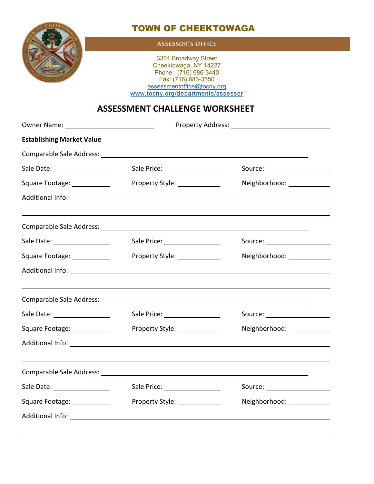

## TOWN OF CHEEKTOWAGA

#### **ASSESSOR'S OFFICE**

3301 Broadway Street Cheektowaga, NY 14227 Phone: (716) 686-3440 Fax: (716) 686-3550 assessmentoffice@tocny.org www.tocny.org/departments/assessor

### **ASSESSMENT CHALLENGE WORKSHEET**

| <b>Establishing Market Value</b> |                                                                     |                                  |
|----------------------------------|---------------------------------------------------------------------|----------------------------------|
|                                  | Comparable Sale Address: University of the Comparable Sale Address: |                                  |
|                                  | Sale Price: ___________________                                     | Source: ________________________ |
| Square Footage: ____________     | Property Style: _____________                                       | Neighborhood: _____________      |
|                                  |                                                                     |                                  |
|                                  |                                                                     |                                  |
|                                  | Sale Price: __________________                                      | Source: ______________________   |
| Square Footage: ____________     | Property Style: 2008                                                | Neighborhood: _____________      |
|                                  |                                                                     |                                  |
|                                  |                                                                     |                                  |
|                                  | Sale Price: ___________________                                     | Source: ______________________   |
| Square Footage: ____________     | Property Style: _____________                                       | Neighborhood: _____________      |
|                                  |                                                                     |                                  |
|                                  |                                                                     |                                  |
|                                  | Sale Price: _____________________                                   | Source: _____________________    |
| Square Footage: ___________      | Property Style: _____________                                       | Neighborhood: _____________      |
|                                  |                                                                     |                                  |